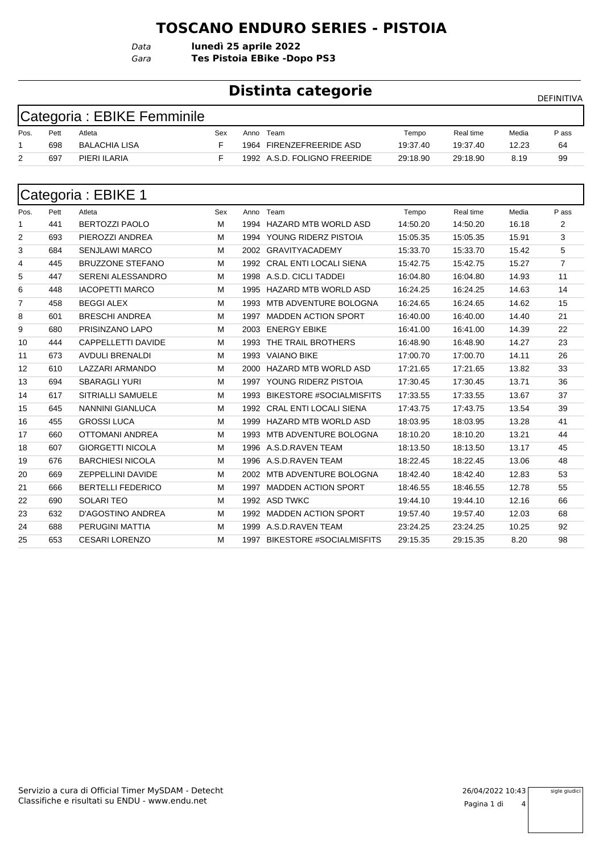#### **TOSCANO ENDURO SERIES - PISTOIA**

*Gara* **Tes Pistoia EBike -Dopo PS3** *Data* **lunedì 25 aprile 2022**

#### **Distinta categorie Distinta categorie**

| Categoria : EBIKE Femminile |  |
|-----------------------------|--|
|-----------------------------|--|

| Pos. | Pett | Atleta               | Sex | Anno | Team                         | Tempo    | Real time | Media | P ass |
|------|------|----------------------|-----|------|------------------------------|----------|-----------|-------|-------|
|      | 698  | <b>BALACHIA LISA</b> |     | 1964 | <b>FIRENZEFREERIDE ASD</b>   | 19:37.40 | 19:37.40  | 12.23 | 64    |
| _    | 697  | PIERI ILARIA         |     |      | 1992 A.S.D. FOLIGNO FREERIDE | 29:18.90 | 29:18.90  | 8.19  | 99    |

| Categoria: EBIKE 1 |      |                          |     |      |                                 |          |           |       |                |  |  |
|--------------------|------|--------------------------|-----|------|---------------------------------|----------|-----------|-------|----------------|--|--|
| Pos.               | Pett | Atleta                   | Sex | Anno | Team                            | Tempo    | Real time | Media | P ass          |  |  |
| 1                  | 441  | <b>BERTOZZI PAOLO</b>    | M   |      | 1994 HAZARD MTB WORLD ASD       | 14:50.20 | 14:50.20  | 16.18 | 2              |  |  |
| 2                  | 693  | PIEROZZI ANDREA          | м   |      | 1994 YOUNG RIDERZ PISTOIA       | 15:05.35 | 15:05.35  | 15.91 | 3              |  |  |
| 3                  | 684  | <b>SENJLAWI MARCO</b>    | м   |      | 2002 GRAVITYACADEMY             | 15:33.70 | 15:33.70  | 15.42 | 5              |  |  |
| 4                  | 445  | <b>BRUZZONE STEFANO</b>  | M   | 1992 | <b>CRAL ENTI LOCALI SIENA</b>   | 15:42.75 | 15:42.75  | 15.27 | $\overline{7}$ |  |  |
| 5                  | 447  | <b>SERENI ALESSANDRO</b> | M   | 1998 | A.S.D. CICLI TADDEI             | 16:04.80 | 16:04.80  | 14.93 | 11             |  |  |
| 6                  | 448  | <b>IACOPETTI MARCO</b>   | м   | 1995 | <b>HAZARD MTB WORLD ASD</b>     | 16:24.25 | 16:24.25  | 14.63 | 14             |  |  |
| 7                  | 458  | <b>BEGGI ALEX</b>        | M   | 1993 | MTB ADVENTURE BOLOGNA           | 16:24.65 | 16:24.65  | 14.62 | 15             |  |  |
| 8                  | 601  | <b>BRESCHI ANDREA</b>    | M   | 1997 | <b>MADDEN ACTION SPORT</b>      | 16:40.00 | 16:40.00  | 14.40 | 21             |  |  |
| 9                  | 680  | PRISINZANO LAPO          | м   | 2003 | <b>ENERGY EBIKE</b>             | 16:41.00 | 16:41.00  | 14.39 | 22             |  |  |
| 10                 | 444  | CAPPELLETTI DAVIDE       | M   | 1993 | THE TRAIL BROTHERS              | 16:48.90 | 16:48.90  | 14.27 | 23             |  |  |
| 11                 | 673  | <b>AVDULI BRENALDI</b>   | м   |      | 1993 VAIANO BIKE                | 17:00.70 | 17:00.70  | 14.11 | 26             |  |  |
| 12                 | 610  | LAZZARI ARMANDO          | M   | 2000 | <b>HAZARD MTB WORLD ASD</b>     | 17:21.65 | 17:21.65  | 13.82 | 33             |  |  |
| 13                 | 694  | <b>SBARAGLI YURI</b>     | м   | 1997 | YOUNG RIDERZ PISTOIA            | 17:30.45 | 17:30.45  | 13.71 | 36             |  |  |
| 14                 | 617  | SITRIALLI SAMUELE        | М   | 1993 | <b>BIKESTORE #SOCIALMISFITS</b> | 17:33.55 | 17:33.55  | 13.67 | 37             |  |  |
| 15                 | 645  | <b>NANNINI GIANLUCA</b>  | м   | 1992 | <b>CRAL ENTI LOCALI SIENA</b>   | 17:43.75 | 17:43.75  | 13.54 | 39             |  |  |
| 16                 | 455  | <b>GROSSI LUCA</b>       | M   | 1999 | <b>HAZARD MTB WORLD ASD</b>     | 18:03.95 | 18:03.95  | 13.28 | 41             |  |  |
| 17                 | 660  | OTTOMANI ANDREA          | м   | 1993 | MTB ADVENTURE BOLOGNA           | 18:10.20 | 18:10.20  | 13.21 | 44             |  |  |
| 18                 | 607  | <b>GIORGETTI NICOLA</b>  | M   |      | 1996 A.S.D.RAVEN TEAM           | 18:13.50 | 18:13.50  | 13.17 | 45             |  |  |
| 19                 | 676  | <b>BARCHIESI NICOLA</b>  | м   |      | 1996 A.S.D.RAVEN TEAM           | 18:22.45 | 18:22.45  | 13.06 | 48             |  |  |
| 20                 | 669  | ZEPPELLINI DAVIDE        | М   | 2002 | MTB ADVENTURE BOLOGNA           | 18:42.40 | 18:42.40  | 12.83 | 53             |  |  |
| 21                 | 666  | <b>BERTELLI FEDERICO</b> | м   | 1997 | <b>MADDEN ACTION SPORT</b>      | 18:46.55 | 18:46.55  | 12.78 | 55             |  |  |
| 22                 | 690  | <b>SOLARI TEO</b>        | м   |      | 1992 ASD TWKC                   | 19:44.10 | 19:44.10  | 12.16 | 66             |  |  |
| 23                 | 632  | <b>D'AGOSTINO ANDREA</b> | M   | 1992 | <b>MADDEN ACTION SPORT</b>      | 19:57.40 | 19:57.40  | 12.03 | 68             |  |  |
| 24                 | 688  | PERUGINI MATTIA          | м   |      | 1999 A.S.D.RAVEN TEAM           | 23:24.25 | 23:24.25  | 10.25 | 92             |  |  |
| 25                 | 653  | <b>CESARI LORENZO</b>    | М   |      | 1997 BIKESTORE #SOCIALMISFITS   | 29:15.35 | 29:15.35  | 8.20  | 98             |  |  |

sigle giudici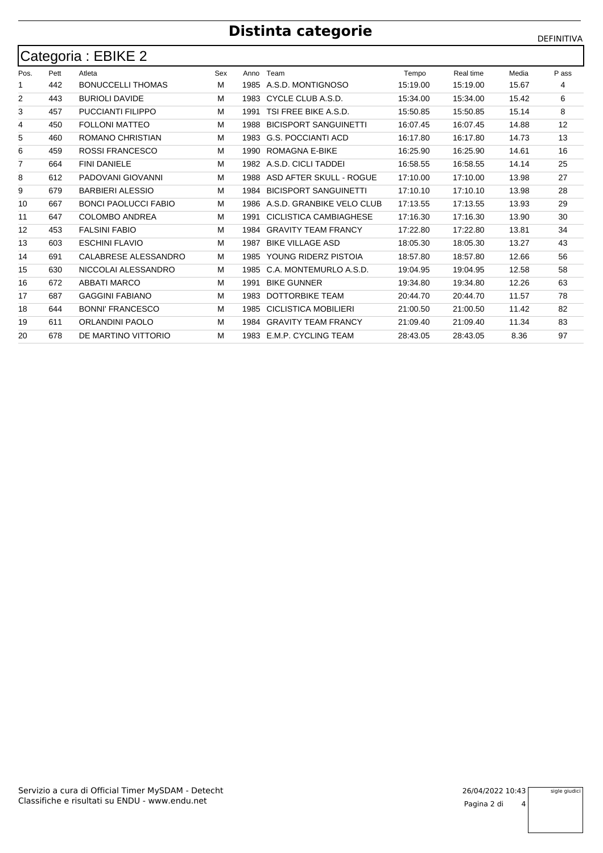# **Distinta categorie** DEFINITIVA

|                | Categoria : EBIKE 2 |                             |     |      |                              |          |           |       |       |  |  |  |
|----------------|---------------------|-----------------------------|-----|------|------------------------------|----------|-----------|-------|-------|--|--|--|
| Pos.           | Pett                | Atleta                      | Sex | Anno | Team                         | Tempo    | Real time | Media | P ass |  |  |  |
| 1              | 442                 | <b>BONUCCELLI THOMAS</b>    | м   |      | 1985 A.S.D. MONTIGNOSO       | 15:19.00 | 15:19.00  | 15.67 | 4     |  |  |  |
| $\overline{2}$ | 443                 | <b>BURIOLI DAVIDE</b>       | M   | 1983 | CYCLE CLUB A.S.D.            | 15:34.00 | 15:34.00  | 15.42 | 6     |  |  |  |
| 3              | 457                 | PUCCIANTI FILIPPO           | M   | 1991 | TSI FREE BIKE A.S.D.         | 15:50.85 | 15:50.85  | 15.14 | 8     |  |  |  |
| 4              | 450                 | <b>FOLLONI MATTEO</b>       | м   | 1988 | <b>BICISPORT SANGUINETTI</b> | 16:07.45 | 16:07.45  | 14.88 | 12    |  |  |  |
| 5              | 460                 | ROMANO CHRISTIAN            | M   | 1983 | <b>G.S. POCCIANTI ACD</b>    | 16:17.80 | 16:17.80  | 14.73 | 13    |  |  |  |
| 6              | 459                 | <b>ROSSI FRANCESCO</b>      | M   | 1990 | <b>ROMAGNA E-BIKE</b>        | 16:25.90 | 16:25.90  | 14.61 | 16    |  |  |  |
| 7              | 664                 | <b>FINI DANIELE</b>         | м   |      | 1982 A.S.D. CICLI TADDEI     | 16:58.55 | 16:58.55  | 14.14 | 25    |  |  |  |
| 8              | 612                 | PADOVANI GIOVANNI           | M   | 1988 | ASD AFTER SKULL - ROGUE      | 17:10.00 | 17:10.00  | 13.98 | 27    |  |  |  |
| 9              | 679                 | <b>BARBIERI ALESSIO</b>     | M   | 1984 | <b>BICISPORT SANGUINETTI</b> | 17:10.10 | 17:10.10  | 13.98 | 28    |  |  |  |
| 10             | 667                 | <b>BONCI PAOLUCCI FABIO</b> | м   | 1986 | A.S.D. GRANBIKE VELO CLUB    | 17:13.55 | 17:13.55  | 13.93 | 29    |  |  |  |
| 11             | 647                 | <b>COLOMBO ANDREA</b>       | M   | 1991 | CICLISTICA CAMBIAGHESE       | 17:16.30 | 17:16.30  | 13.90 | 30    |  |  |  |
| 12             | 453                 | <b>FALSINI FABIO</b>        | м   | 1984 | <b>GRAVITY TEAM FRANCY</b>   | 17:22.80 | 17:22.80  | 13.81 | 34    |  |  |  |
| 13             | 603                 | <b>ESCHINI FLAVIO</b>       | M   | 1987 | <b>BIKE VILLAGE ASD</b>      | 18:05.30 | 18:05.30  | 13.27 | 43    |  |  |  |
| 14             | 691                 | CALABRESE ALESSANDRO        | М   | 1985 | YOUNG RIDERZ PISTOIA         | 18:57.80 | 18:57.80  | 12.66 | 56    |  |  |  |
| 15             | 630                 | NICCOLAI ALESSANDRO         | м   | 1985 | C.A. MONTEMURLO A.S.D.       | 19:04.95 | 19:04.95  | 12.58 | 58    |  |  |  |
| 16             | 672                 | <b>ABBATI MARCO</b>         | M   | 1991 | <b>BIKE GUNNER</b>           | 19:34.80 | 19:34.80  | 12.26 | 63    |  |  |  |
| 17             | 687                 | <b>GAGGINI FABIANO</b>      | м   | 1983 | <b>DOTTORBIKE TEAM</b>       | 20:44.70 | 20:44.70  | 11.57 | 78    |  |  |  |
| 18             | 644                 | <b>BONNI' FRANCESCO</b>     | M   | 1985 | <b>CICLISTICA MOBILIERI</b>  | 21:00.50 | 21:00.50  | 11.42 | 82    |  |  |  |
| 19             | 611                 | <b>ORLANDINI PAOLO</b>      | M   | 1984 | <b>GRAVITY TEAM FRANCY</b>   | 21:09.40 | 21:09.40  | 11.34 | 83    |  |  |  |
| 20             | 678                 | DE MARTINO VITTORIO         | M   |      | 1983 E.M.P. CYCLING TEAM     | 28:43.05 | 28:43.05  | 8.36  | 97    |  |  |  |

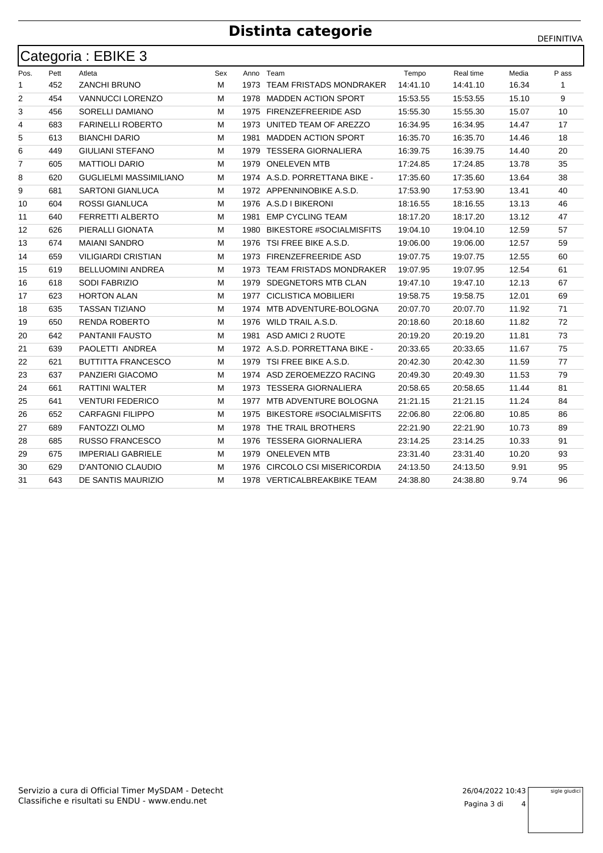# **Distinta categorie** DEFINITIVA

| Categoria: EBIKE 3 |      |                            |     |      |                                 |          |           |       |       |  |  |
|--------------------|------|----------------------------|-----|------|---------------------------------|----------|-----------|-------|-------|--|--|
| Pos.               | Pett | Atleta                     | Sex |      | Anno Team                       | Tempo    | Real time | Media | P ass |  |  |
| 1                  | 452  | <b>ZANCHI BRUNO</b>        | м   |      | 1973 TEAM FRISTADS MONDRAKER    | 14:41.10 | 14:41.10  | 16.34 | -1    |  |  |
| $\overline{2}$     | 454  | <b>VANNUCCI LORENZO</b>    | М   | 1978 | <b>MADDEN ACTION SPORT</b>      | 15:53.55 | 15:53.55  | 15.10 | 9     |  |  |
| 3                  | 456  | SORELLI DAMIANO            | М   |      | 1975 FIRENZEFREERIDE ASD        | 15:55.30 | 15:55.30  | 15.07 | 10    |  |  |
| 4                  | 683  | <b>FARINELLI ROBERTO</b>   | М   | 1973 | UNITED TEAM OF AREZZO           | 16:34.95 | 16:34.95  | 14.47 | 17    |  |  |
| 5                  | 613  | <b>BIANCHI DARIO</b>       | М   | 1981 | <b>MADDEN ACTION SPORT</b>      | 16:35.70 | 16:35.70  | 14.46 | 18    |  |  |
| 6                  | 449  | <b>GIULIANI STEFANO</b>    | М   |      | 1979 TESSERA GIORNALIERA        | 16:39.75 | 16:39.75  | 14.40 | 20    |  |  |
| $\overline{7}$     | 605  | <b>MATTIOLI DARIO</b>      | м   | 1979 | <b>ONELEVEN MTB</b>             | 17:24.85 | 17:24.85  | 13.78 | 35    |  |  |
| 8                  | 620  | GUGLIELMI MASSIMILIANO     | м   |      | 1974 A.S.D. PORRETTANA BIKE -   | 17:35.60 | 17:35.60  | 13.64 | 38    |  |  |
| 9                  | 681  | <b>SARTONI GIANLUCA</b>    | М   |      | 1972 APPENNINOBIKE A.S.D.       | 17:53.90 | 17:53.90  | 13.41 | 40    |  |  |
| 10                 | 604  | <b>ROSSI GIANLUCA</b>      | М   |      | 1976 A.S.D I BIKERONI           | 18:16.55 | 18:16.55  | 13.13 | 46    |  |  |
| 11                 | 640  | FERRETTI ALBERTO           | М   | 1981 | <b>EMP CYCLING TEAM</b>         | 18:17.20 | 18:17.20  | 13.12 | 47    |  |  |
| 12                 | 626  | PIERALLI GIONATA           | М   | 1980 | <b>BIKESTORE #SOCIALMISFITS</b> | 19:04.10 | 19:04.10  | 12.59 | 57    |  |  |
| 13                 | 674  | <b>MAIANI SANDRO</b>       | М   | 1976 | TSI FREE BIKE A.S.D.            | 19:06.00 | 19:06.00  | 12.57 | 59    |  |  |
| 14                 | 659  | <b>VILIGIARDI CRISTIAN</b> | м   |      | 1973 FIRENZEFREERIDE ASD        | 19:07.75 | 19:07.75  | 12.55 | 60    |  |  |
| 15                 | 619  | <b>BELLUOMINI ANDREA</b>   | М   | 1973 | <b>TEAM FRISTADS MONDRAKER</b>  | 19:07.95 | 19:07.95  | 12.54 | 61    |  |  |
| 16                 | 618  | <b>SODI FABRIZIO</b>       | м   | 1979 | SDEGNETORS MTB CLAN             | 19:47.10 | 19:47.10  | 12.13 | 67    |  |  |
| 17                 | 623  | <b>HORTON ALAN</b>         | М   | 1977 | <b>CICLISTICA MOBILIERI</b>     | 19:58.75 | 19:58.75  | 12.01 | 69    |  |  |
| 18                 | 635  | <b>TASSAN TIZIANO</b>      | М   |      | 1974 MTB ADVENTURE-BOLOGNA      | 20:07.70 | 20:07.70  | 11.92 | 71    |  |  |
| 19                 | 650  | <b>RENDA ROBERTO</b>       | м   | 1976 | WILD TRAIL A.S.D.               | 20:18.60 | 20:18.60  | 11.82 | 72    |  |  |
| 20                 | 642  | <b>PANTANII FAUSTO</b>     | М   |      | 1981 ASD AMICI 2 RUOTE          | 20:19.20 | 20:19.20  | 11.81 | 73    |  |  |
| 21                 | 639  | PAOLETTI ANDREA            | М   |      | 1972 A.S.D. PORRETTANA BIKE -   | 20:33.65 | 20:33.65  | 11.67 | 75    |  |  |
| 22                 | 621  | <b>BUTTITTA FRANCESCO</b>  | м   |      | 1979 TSI FREE BIKE A.S.D.       | 20:42.30 | 20:42.30  | 11.59 | 77    |  |  |
| 23                 | 637  | PANZIERI GIACOMO           | м   |      | 1974 ASD ZEROEMEZZO RACING      | 20:49.30 | 20:49.30  | 11.53 | 79    |  |  |
| 24                 | 661  | <b>RATTINI WALTER</b>      | М   |      | 1973 TESSERA GIORNALIERA        | 20:58.65 | 20:58.65  | 11.44 | 81    |  |  |
| 25                 | 641  | <b>VENTURI FEDERICO</b>    | М   | 1977 | MTB ADVENTURE BOLOGNA           | 21:21.15 | 21:21.15  | 11.24 | 84    |  |  |
| 26                 | 652  | <b>CARFAGNI FILIPPO</b>    | м   | 1975 | <b>BIKESTORE #SOCIALMISFITS</b> | 22:06.80 | 22:06.80  | 10.85 | 86    |  |  |
| 27                 | 689  | FANTOZZI OLMO              | M   | 1978 | THE TRAIL BROTHERS              | 22:21.90 | 22:21.90  | 10.73 | 89    |  |  |
| 28                 | 685  | <b>RUSSO FRANCESCO</b>     | М   | 1976 | TESSERA GIORNALIERA             | 23:14.25 | 23:14.25  | 10.33 | 91    |  |  |
| 29                 | 675  | <b>IMPERIALI GABRIELE</b>  | М   | 1979 | <b>ONELEVEN MTB</b>             | 23:31.40 | 23:31.40  | 10.20 | 93    |  |  |
| 30                 | 629  | D'ANTONIO CLAUDIO          | м   | 1976 | CIRCOLO CSI MISERICORDIA        | 24:13.50 | 24:13.50  | 9.91  | 95    |  |  |
| 31                 | 643  | DE SANTIS MAURIZIO         | М   |      | 1978 VERTICALBREAKBIKE TEAM     | 24:38.80 | 24:38.80  | 9.74  | 96    |  |  |